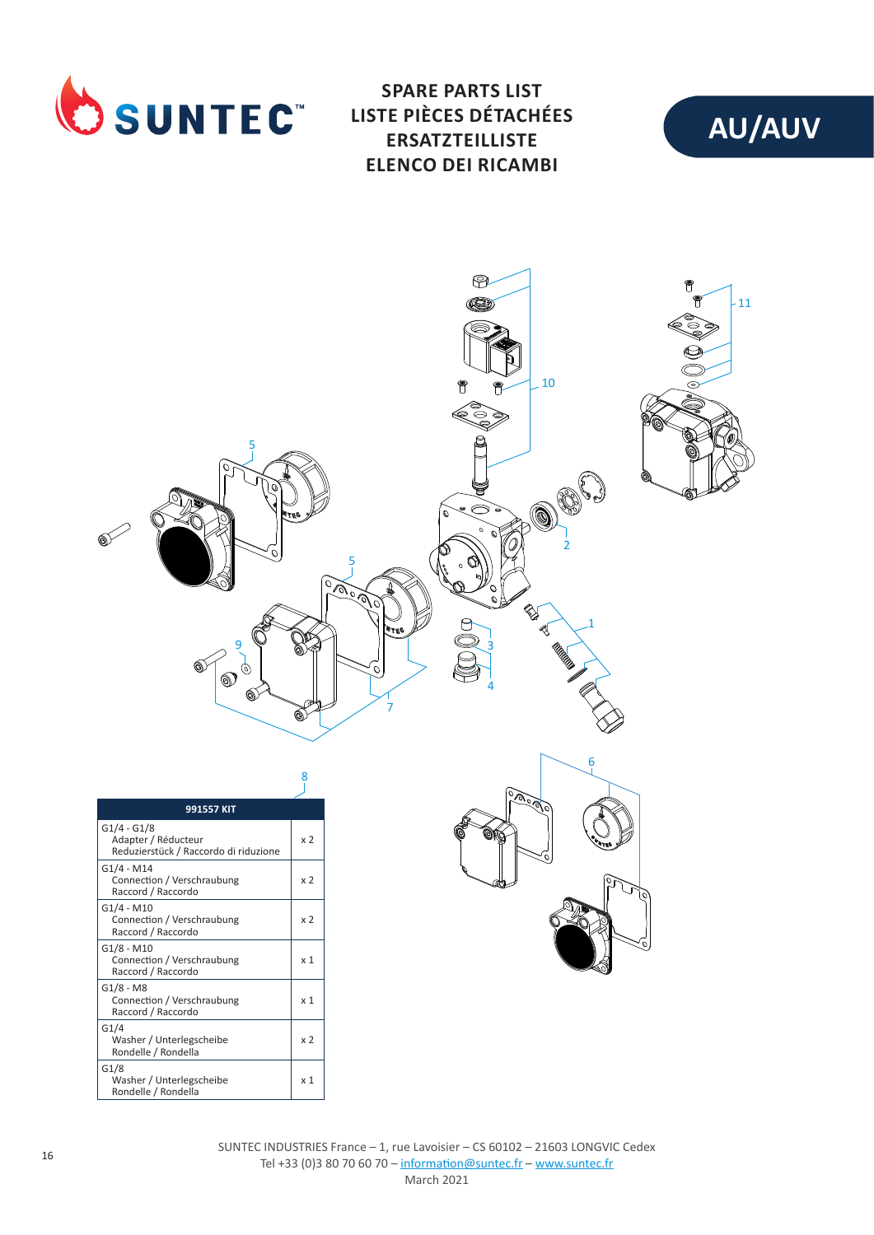

**SPARE PARTS LIST LISTE PIÈCES DÉTACHÉES ERSATZTEILLISTE ELENCO DEI RICAMBI**





G1/4

G1/8

Washer / Unterlegscheibe Rondelle / Rondella

Washer / Unterlegscheibe Rondelle / Rondella

x 2

x 1